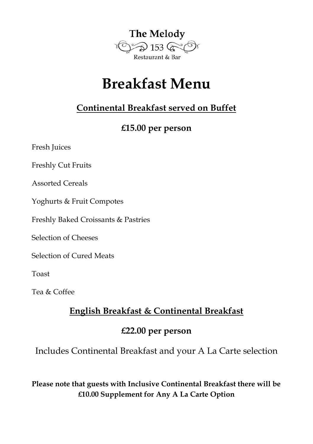

# **Breakfast Menu**

## **Continental Breakfast served on Buffet**

### **£15.00 per person**

Fresh Juices

Freshly Cut Fruits

Assorted Cereals

Yoghurts & Fruit Compotes

Freshly Baked Croissants & Pastries

Selection of Cheeses

Selection of Cured Meats

Toast

Tea & Coffee

## **English Breakfast & Continental Breakfast**

#### **£22.00 per person**

Includes Continental Breakfast and your A La Carte selection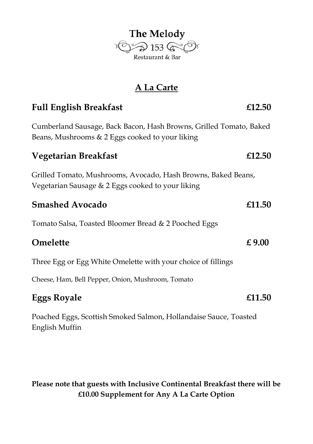

## **A La Carte**

# **Full English Breakfast £12.50** Cumberland Sausage, Back Bacon, Hash Browns, Grilled Tomato, Baked Beans, Mushrooms & 2 Eggs cooked to your liking **Vegetarian Breakfast £12.50** Grilled Tomato, Mushrooms, Avocado, Hash Browns, Baked Beans, Vegetarian Sausage & 2 Eggs cooked to your liking **Smashed Avocado £11.50** Tomato Salsa, Toasted Bloomer Bread & 2 Pooched Eggs **Omelette £ 9.00** Three Egg or Egg White Omelette with your choice of fillings Cheese, Ham, Bell Pepper, Onion, Mushroom, Tomato **Eggs Royale £11.50** Poached Eggs, Scottish Smoked Salmon, Hollandaise Sauce, Toasted

English Muffin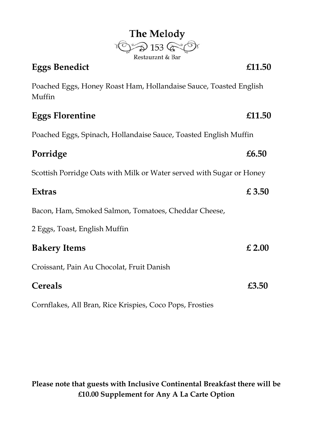| <b>Eggs Benedict</b>                                                        | £11.50 |
|-----------------------------------------------------------------------------|--------|
| Poached Eggs, Honey Roast Ham, Hollandaise Sauce, Toasted English<br>Muffin |        |
| <b>Eggs Florentine</b>                                                      | £11.50 |
| Poached Eggs, Spinach, Hollandaise Sauce, Toasted English Muffin            |        |
| Porridge                                                                    | £6.50  |
| Scottish Porridge Oats with Milk or Water served with Sugar or Honey        |        |
| <b>Extras</b>                                                               | £3.50  |
| Bacon, Ham, Smoked Salmon, Tomatoes, Cheddar Cheese,                        |        |
| 2 Eggs, Toast, English Muffin                                               |        |
| <b>Bakery Items</b>                                                         | £2.00  |
| Croissant, Pain Au Chocolat, Fruit Danish                                   |        |
| Cereals                                                                     | £3.50  |

The Melody<br>  $\bigcirc$  153  $\bigcirc$ 

Cornflakes, All Bran, Rice Krispies, Coco Pops, Frosties